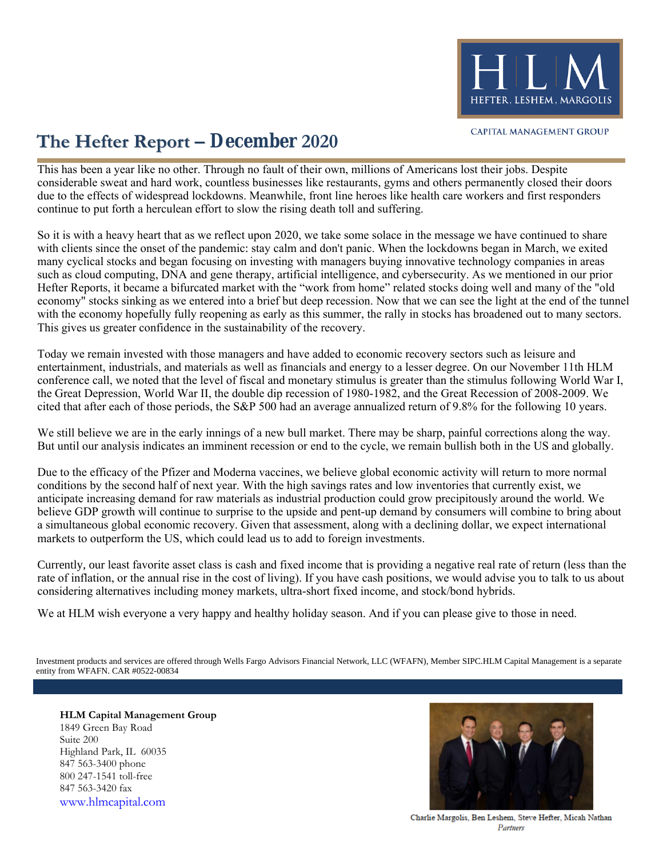

## **The Hefter Report – December 2020**

continue to put forth a herculean effort to slow the rising death toll and suffering. due to the effects of widespread lockdowns. Meanwhile, front line heroes like health care workers and first responders considerable sweat and hard work, countless businesses like restaurants, gyms and others permanently closed their doors This has been a year like no other. Through no fault of their own, millions of Americans lost their jobs. Despite

This gives us greater confidence in the sustainability of the recovery. with the economy hopefully fully reopening as early as this summer, the rally in stocks has broadened out to many sectors. economy" stocks sinking as we entered into a brief but deep recession. Now that we can see the light at the end of the tunnel Hefter Reports, it became a bifurcated market with the "work from home" related stocks doing well and many of the "old such as cloud computing, DNA and gene therapy, artificial intelligence, and cybersecurity. As we mentioned in our prior many cyclical stocks and began focusing on investing with managers buying innovative technology companies in areas with clients since the onset of the pandemic: stay calm and don't panic. When the lockdowns began in March, we exited So it is with a heavy heart that as we reflect upon 2020, we take some solace in the message we have continued to share

cited that after each of those periods, the S&P 500 had an average annualized return of 9.8% for the following 10 years. the Great Depression, World War II, the double dip recession of 1980-1982, and the Great Recession of 2008-2009. We conference call, we noted that the level of fiscal and monetary stimulus is greater than the stimulus following World War I, entertainment, industrials, and materials as well as financials and energy to a lesser degree. On our November 11th HLM Today we remain invested with those managers and have added to economic recovery sectors such as leisure and

But until our analysis indicates an imminent recession or end to the cycle, we remain bullish both in the US and globally. We still believe we are in the early innings of a new bull market. There may be sharp, painful corrections along the way.

markets to outperform the US, which could lead us to add to foreign investments. a simultaneous global economic recovery. Given that assessment, along with a declining dollar, we expect international believe GDP growth will continue to surprise to the upside and pent-up demand by consumers will combine to bring about anticipate increasing demand for raw materials as industrial production could grow precipitously around the world. We conditions by the second half of next year. With the high savings rates and low inventories that currently exist, we Due to the efficacy of the Pfizer and Moderna vaccines, we believe global economic activity will return to more normal

considering alternatives including money markets, ultra-short fixed income, and stock/bond hybrids. rate of inflation, or the annual rise in the cost of living). If you have cash positions, we would advise you to talk to us about Currently, our least favorite asset class is cash and fixed income that is providing a negative real rate of return (less than the

We at HLM wish everyone a very happy and healthy holiday season. And if you can please give to those in need.

entity from WFAFN. CAR #0522-00834 Investment products and services are offered through Wells Fargo Advisors Financial Network, LLC (WFAFN), Member SIPC.HLM Capital Management is a separate

**HLM Capital Management Group** 1849 Green Bay Road Suite 200 Highland Park, IL 60035 847 563-3400 phone 800 247-1541 toll-free 847 563-3420 fax [www.hlmcapital.com](http://www.hlmcapital.com/)



Charlie Margolis, Ben Leshem, Steve Hefter, Micah Nathan Partners